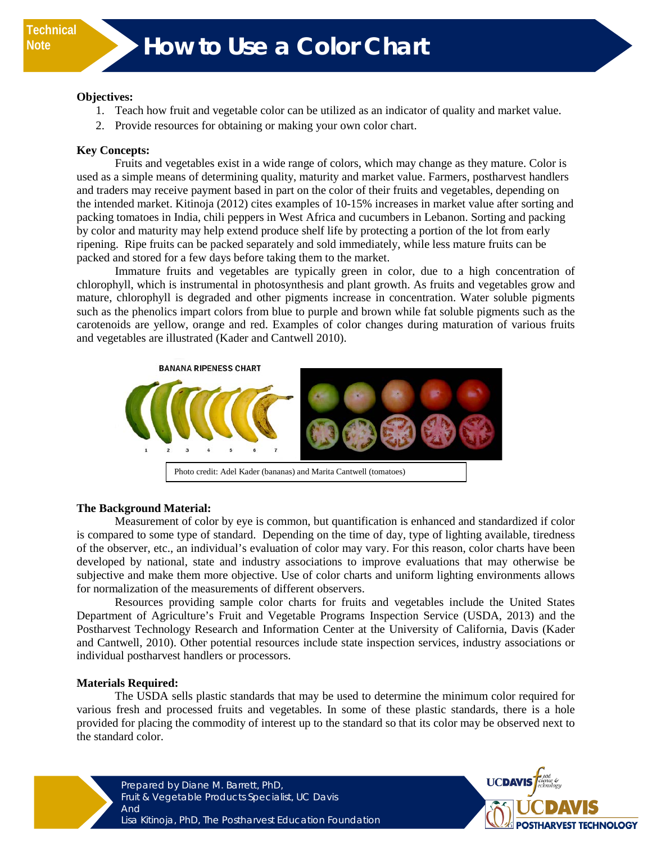#### **Objectives:**

- 1. Teach how fruit and vegetable color can be utilized as an indicator of quality and market value.
- 2. Provide resources for obtaining or making your own color chart.

### **Key Concepts:**

Fruits and vegetables exist in a wide range of colors, which may change as they mature. Color is used as a simple means of determining quality, maturity and market value. Farmers, postharvest handlers and traders may receive payment based in part on the color of their fruits and vegetables, depending on the intended market. Kitinoja (2012) cites examples of 10-15% increases in market value after sorting and packing tomatoes in India, chili peppers in West Africa and cucumbers in Lebanon. Sorting and packing by color and maturity may help extend produce shelf life by protecting a portion of the lot from early ripening. Ripe fruits can be packed separately and sold immediately, while less mature fruits can be packed and stored for a few days before taking them to the market.

Immature fruits and vegetables are typically green in color, due to a high concentration of chlorophyll, which is instrumental in photosynthesis and plant growth. As fruits and vegetables grow and mature, chlorophyll is degraded and other pigments increase in concentration. Water soluble pigments such as the phenolics impart colors from blue to purple and brown while fat soluble pigments such as the carotenoids are yellow, orange and red. Examples of color changes during maturation of various fruits and vegetables are illustrated (Kader and Cantwell 2010).



### **The Background Material:**

Measurement of color by eye is common, but quantification is enhanced and standardized if color is compared to some type of standard. Depending on the time of day, type of lighting available, tiredness of the observer, etc., an individual's evaluation of color may vary. For this reason, color charts have been developed by national, state and industry associations to improve evaluations that may otherwise be subjective and make them more objective. Use of color charts and uniform lighting environments allows for normalization of the measurements of different observers.

Resources providing sample color charts for fruits and vegetables include the United States Department of Agriculture's Fruit and Vegetable Programs Inspection Service (USDA, 2013) and the Postharvest Technology Research and Information Center at the University of California, Davis (Kader and Cantwell, 2010). Other potential resources include state inspection services, industry associations or individual postharvest handlers or processors.

### **Materials Required:**

The USDA sells plastic standards that may be used to determine the minimum color required for various fresh and processed fruits and vegetables. In some of these plastic standards, there is a hole provided for placing the commodity of interest up to the standard so that its color may be observed next to the standard color.



Prepared by Diane M. Barrett, PhD, Fruit & Vegetable Products Specialist, UC Davis And Lisa Kitinoja, PhD, The Postharvest Education Foundation